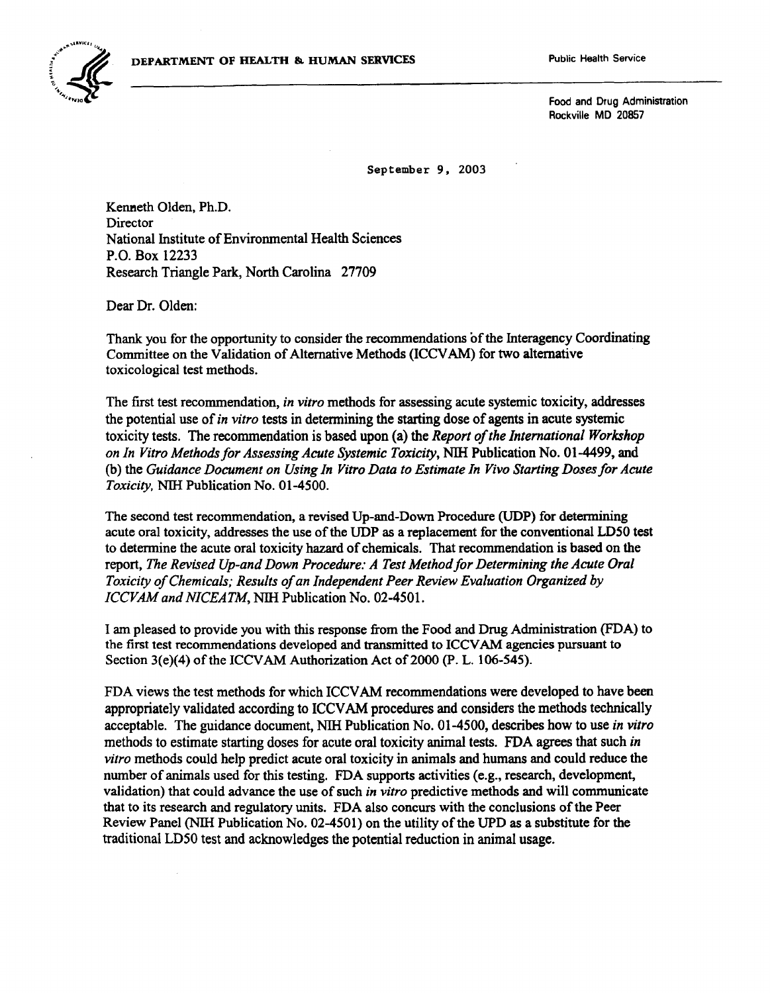

 $\sum_{\lambda_{\lambda_{\lambda_{1}}},\ldots,\lambda_{\ell_{n}}}$ Rockville MD 20857

September 9, 2003

Kenneth Olden, Ph.D. **Director** National Institute of Environmental Health Sciences P.O. Box 12233 Research Triangle Park, North Carolina 27709

Dear Dr. Olden:

Thank you for the opportunity to consider the recommendations of the Interagency Coordinating Committee on the Validation of Alternative Methods (ICCVAM) for two alternative toxicological test methods.

The first test recommendation, *in vitro* methods for assessing acute systemic toxicity, addresses the potential use of*in vitro* tests in determining the starting dose of agents in acute systemic toxicity tests. The recommendation is based upon (a) the *Report ofthe International Workshop on In Vitro Methods for Assessing Acute Systemic Toxicity,* Nlll Publication No. 01-4499, and (b) the *Guidance Document on Using In Vitro Data to Estimate In Vivo Starting Doses for Acute Toxicity,* Nlll Publication No. 01-4500.

The second test recommendation, a revised Up-and-Down Procedure (UDP) for determining acute oral toxicity, addresses the use ofthe UDP as a replacement for the conventional LDSO test to determine the acute oral toxicity hazard of chemicals. That recommendation is based on the report, *The Revised Up-and Down Procedure: A Test Method for Determining the Acute Oral Toxicity of Chemicals; Results of an Independent Peer Review Evaluation Organized by !CCVAMand NICEATM,* Nlll Publication No. 02-4501.

I am pleased to provide you with this response from the Food and Drug Administration (FDA) to the first test recommendations developed and transmitted to ICCV AM agencies pursuant to Section  $3(e)(4)$  of the ICCVAM Authorization Act of 2000 (P. L. 106-545).

FDA views the test methods for which ICCV AM recommendations were developed to have been appropriately validated according to ICCV AM procedures and considers the methods technically acceptable. The guidance document, Nlll Publication No. 01-4500, describes how to use *in vitro*  methods to estimate starting doses for acute oral toxicity animal tests. FDA agrees that such *in vitro* methods could help predict acute oral toxicity in animals and humans and could reduce the number of animals used for this testing. FDA supports activities (e.g., research, development, validation) that could advance the use of such *in vitro* predictive methods and will communicate that to its research and regulatory units. FDA also concurs with the conclusions ofthe Peer Review Panel (NIH Publication No. 02-4501) on the utility of the UPD as a substitute for the traditional LDSO test and acknowledges the potential reduction in animal usage.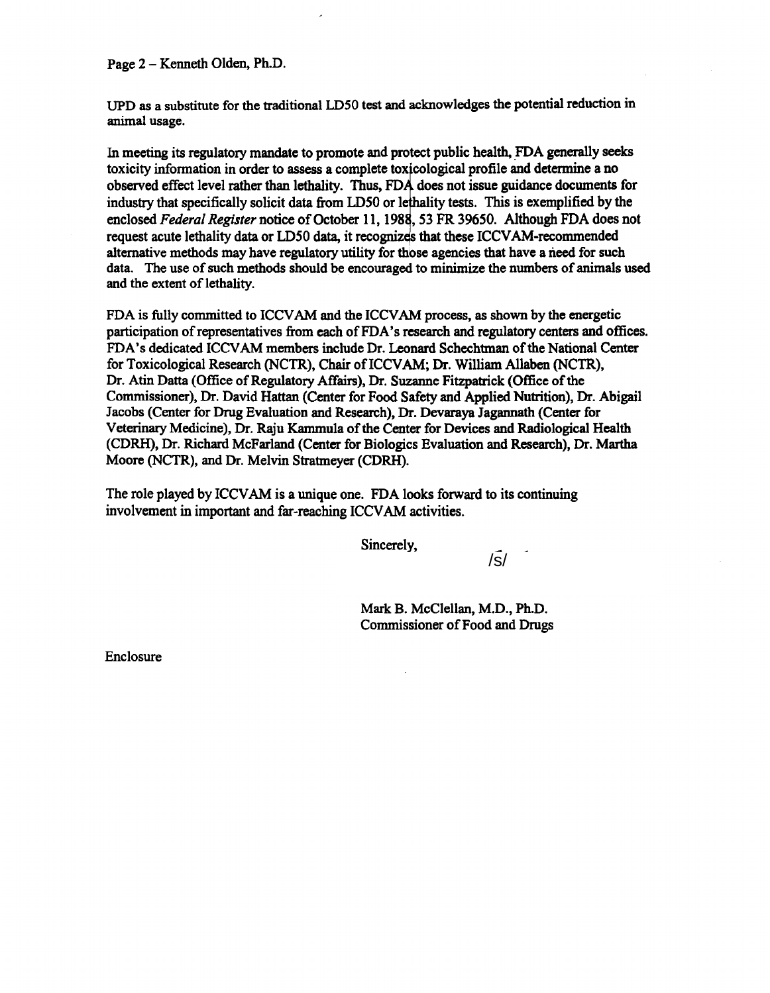Page 2 - Kenneth Olden, Ph.D.

UPD as a substitute for the traditional LDSO test and acknowledges the potential reduction in animal usage.

In meeting its regulatory mandate to promote and protect public health, FDA generally seeks toxicity information in order to assess a complete toxicological profile and determine a no observed effect level rather than lethality. Thus, FDA does not issue guidance documents for industry that specifically solicit data from LD50 or lethality tests. This is exemplified by the enclosed *Federal Register* notice of October 11, 1988, 53 FR 39650. Although FDA does not request acute lethality data or LD50 data, it recognizes that these ICCVAM-recommended alternative methods may have regulatory utility for those agencies that have a need for such data. The use of such methods should be encouraged to minimize the numbers of animals used and the extent of lethality.

FDA is fully committed to ICCV AM and the ICCV AM process, as shown by the energetic participation of representatives from each of FDA's research and regulatory centers and offices. FDA's dedicated ICCV AM members include Dr. Leonard Schechtman ofthe National Center for Toxicological Research (NCTR), Chair ofiCCVAM; Dr. William Allaben (NCTR), Dr. Atin Datta (Office of Regulatory Affairs), Dr. Suzanne Fitzpatrick (Office of the Commissioner), Dr. David Hattan (Center for Food Safety and Applied Nutrition), Dr. Abigail Jacobs (Center for Drug Evaluation and Research), Dr. Devaraya Jagannath (Center for Veterinary Medicine), Dr. Raju Kammula of the Center for Devices and Radiological Health (CDRH), Dr. Richard McFarland (Center for Biologics Evaluation and Research), Dr. Martha Moore (NCTR), and Dr. Melvin Stratmeyer (CDRH).

The role played by ICCVAM is a unique one. FDA looks forward to its continuing involvement in important and far-reaching ICCV AM activities.

Sincerely,

 $\sqrt{s}$ 

Mark B. McClellan, M.D., Ph.D. Commissioner of Food and Drugs

Enclosure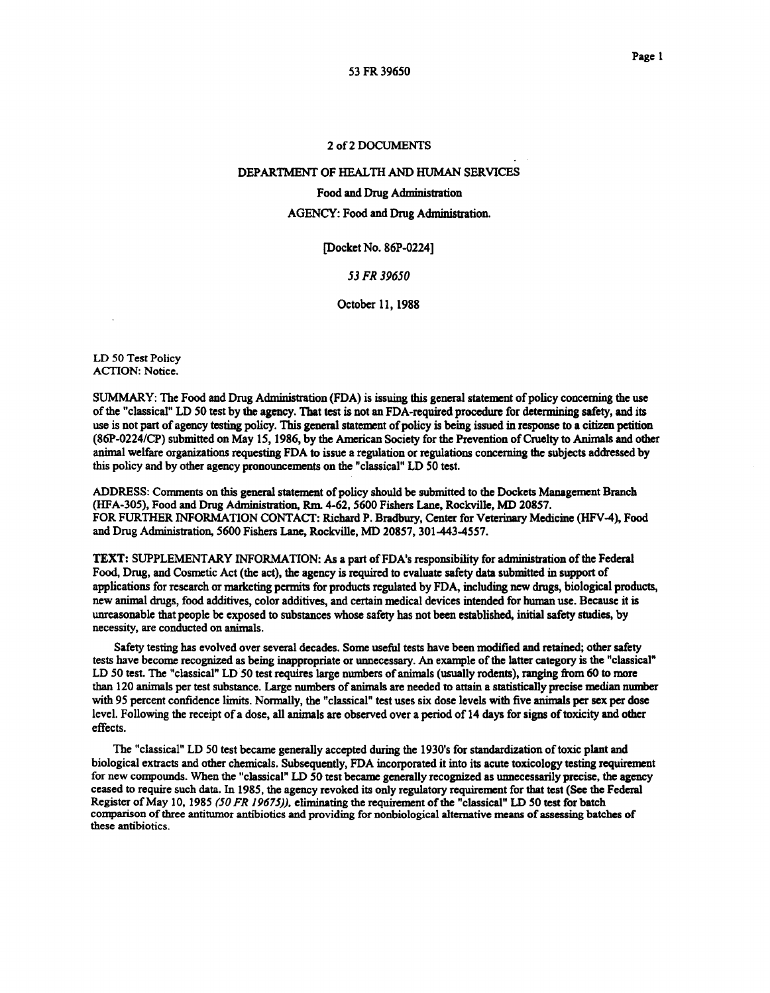# 2of2DOCUMENTS

# DEPARTMENT OF HEALTH AND HUMAN SERVICES

# Food and Drug Administration

# AGENCY: Food and Drug Administration.

[Docket No. 86P-0224]

# *53FR 39650*

October 11, 1988

LD 50 Test Policy ACTION: Notice.

SUMMARY: The Food and Drug Administration (FDA) is issuing this general statement of policy concerning the use ofthe "classical" LD 50 test by the agency. That test is not an FDA-required procedure for determining safety, and its use is not part of agency testing policy. This general statement of policy is being issued in response to a citizen petition (86P-0224/CP) submitted on May 15, 1986, by the American Society for the Prevention of Cruelty to Animals and other animal welfare organizations requesting FDA to issue a regulation or regulations concerning the subjects addressed by this policy and by other agency pronouncements on the "classical" LD 50 test.

ADDRESS: Comments on this general statement of policy should be submitted to the Dockets Management Branch (HFA-305), Food and Drug Administration, Rm. 4-62, 5600 Fishers Lane, Rockville, MD 20857. FOR FURTHER INFORMATION CONTACT: Richard P. Bradbury, Center for Veterinary Medicine (HFV-4), Food and Drug Administration, 5600 Fishers Lane, Rockville, MD 20857, 301-443-4557.

TEXT: SUPPLEMENTARY INFORMATION: As a part of FDA's responsibility for administration of the Federal Food, Drug, and Cosmetic Act (the act), the agency is required to evaluate safety data submitted in support of applications for research or marketing permits for products regulated by FDA, including new drugs, biological products, new animal drugs, food additives, color additives, and certain medical devices intended for human use. Because it is unreasonable that people be exposed to substances whose safety has not been established, initial safety studies, by necessity, are conducted on animals.

Safety testing has evolved over several decades. Some useful tests have been modified and retained; other safety tests have become recognized as being inappropriate or unnecessary. An example ofthe latter category is the "classical" LD 50 test. The "classical" LD 50 test requires large numbers of animals (usually rodents), ranging from 60 to more than 120 animals per test substance. Large numbers of animals are needed to attain a statistically precise median number with 95 percent confidence limits. Normally, the "classical" test uses six dose levels with five animals per sex per dose level. Following the receipt of a dose, all animals are observed over a period of 14 days for signs of toxicity and other effects.

The "classical" LD 50 test became generally accepted during the 1930's for standardization of toxic plant and biological extracts and other chemicals. Subsequently, FDA incorporated it into its acute toxicology testing requirement for new compounds. When the "classical" LD 50 test became generally recognized as unnecessarily precise, the agency ceased to require such data. In 1985, the agency revoked its only regulatory requirement for that test (See the Federal Register of May 10, 1985 *(50 FR 19675)),* eliminating the requirement of the "classical" LD 50 test for batch comparison of three antitumor antibiotics and providing for nonbiological alternative means of assessing batches of these antibiotics.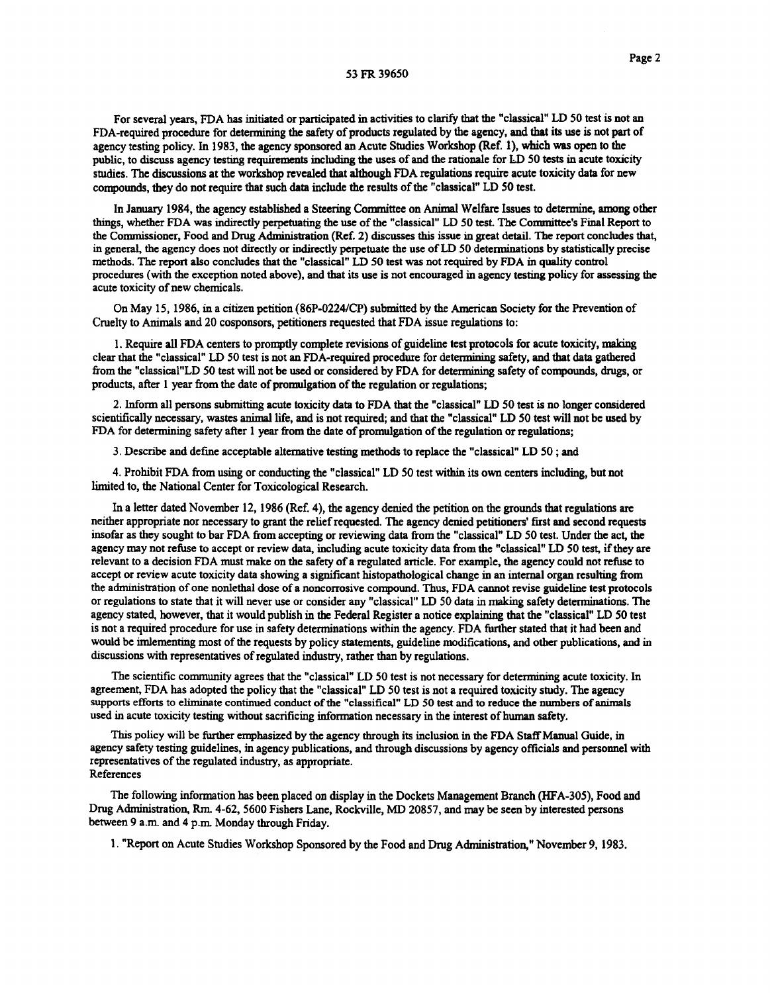#### 53 FR 39650

For several years, FDA has initiated or participated in activities to clarify that the "classical" LD 50 test is not an FDA-required procedure for determining the safety of products regulated by the agency, and that its use is not part of agency testing policy. In 1983, the agency sponsored an Acute Studies Workshop (Ref. 1), which was open to the public, to discuss agency testing requirements including the uses of and the rationale for LD 50 tests in acute toxicity studies. The discussions at the workshop revealed that although FDA regulations require acute toxicity data for new compounds, they do not require that such data include the results ofthe "classical" LD 50 test.

In January 1984, the agency established a Steering Connnittee on Animal Welfare Issues to determine, among other things, whether FDA was indirectly perpetuating the use ofthe "classical" LD 50 test. The Conunittee's Final Report to the Conunissioner, Food and Drug Administration (Ref. 2) discusses this issue in great detail. The report concludes that, in general, the agency does not directly or indirectly perpetuate the use ofLD 50 determinations by statistically precise methods. The report also concludes that the "classical" LD 50 test was not required by FDA in quality control procedures (with the exception noted above), and that its use is not encouraged in agency testing policy for assessing the acute toxicity of new chemicals.

On May 15, 1986, in a citizen petition (86P-0224/CP) submitted by the American Society for the Prevention of Cruelty to Animals and 20 cosponsors, petitioners requested that FDA issue regulations to:

1. Require all FDA centers to promptly complete revisions of guideline test protocols for acute toxicity, making clear that the "classical" LD 50 test is not an FDA-required procedure for determining safety, and that data gathered from the "classical"LD 50 test will not be used or considered by FDA for determining safety of compounds, drugs, or products, after 1 year from the date of promulgation of the regulation or regulations;

2. Inform all persons submitting acute toxicity data to FDA that the "classical" LD 50 test is no longer considered scientifically necessary, wastes animal life, and is not required; and that the "classical" LD 50 test will not be used by FDA for determining safety after 1 year from the date of promulgation of the regulation or regulations;

3. Describe and defme acceptable alternative testing methods to replace the "classical" LD 50 ; and

4. Prohibit FDA from using or conducting the "classical" LD 50 test within its own centers including, but not limited to, the National Center for Toxicological Research.

In a letter dated November 12, 1986 (Ref. 4), the agency denied the petition on the grounds that regulations are neither appropriate nor necessary to grant the reliefrequested. The agency denied petitioners' first and second requests insofar as they sought to bar FDA from accepting or reviewing data from the "classical" LD 50 test. Under the act, the agency may not refuse to accept or review data, including acute toxicity data from the "classical" LD 50 test, ifthey are relevant to a decision FDA must make on the safety of a regulated article. For example, the agency could not refuse to accept or review acute toxicity data showing a significant histopathological change in an internal organ resulting from the administration of one nonlethal dose of a noncorrosive compound. Thus, FDA cannot revise guideline test protocols or regulations to state that it will never use or consider any "classical" LD 50 data in making safety determinations. The agency stated, however, that it would publish in the Federal Register a notice explaining that the "classical" LD 50 test is not a required procedure for use in safety determinations within the agency. FDA further stated that it had been and would be imlementing most of the requests by policy statements, guideline modifications, and other publications, and in discussions with representatives of regulated industry, rather than by regulations.

The scientific community agrees that the "classical" LD 50 test is not necessary for determining acute toxicity. In agreement, FDA has adopted the policy that the "classical" LD 50 test is not a required toxicity study. The agency supports efforts to eliminate continued conduct of the "classifical" LD 50 test and to reduce the numbers of animals used in acute toxicity testing without sacrificing information necessary in the interest of human safety.

This policy will be further emphasized by the agency through its inclusion in the FDA StaffManual Guide, in agency safety testing guidelines, in agency publications, and through discussions by agency officials and personnel with representatives of the regulated industry, as appropriate. References

The following information has been placed on display in the Dockets Management Branch (HFA-305), Food and Drug Administration, Rm. 4-62, 5600 Fishers Lane, Rockville, MD 20857, and may be seen by interested persons between 9 a.m. and 4 p.m Monday through Friday.

1. "Report on Acute Studies Workshop Sponsored by the Food and Drug Administration," November 9, 1983.